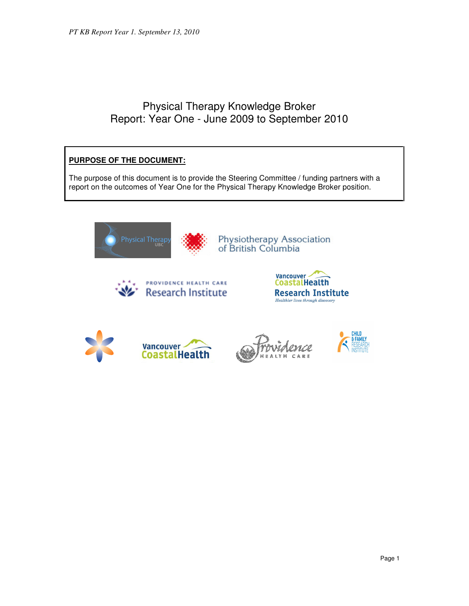# Physical Therapy Knowledge Broker Report: Year One - June 2009 to September 2010

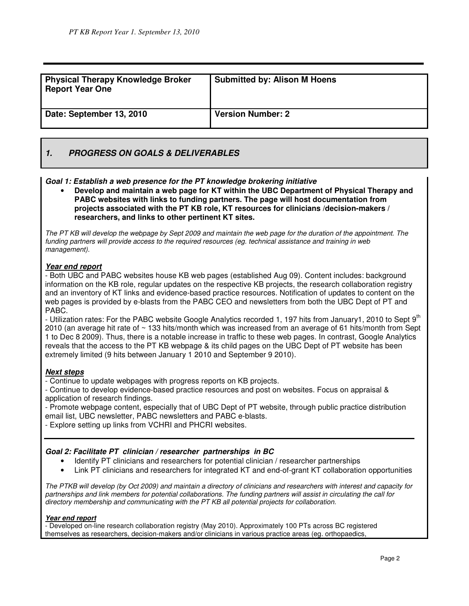| <b>Physical Therapy Knowledge Broker</b><br><b>Report Year One</b> | <b>Submitted by: Alison M Hoens</b> |
|--------------------------------------------------------------------|-------------------------------------|
| Date: September 13, 2010                                           | <b>Version Number: 2</b>            |

### **1. PROGRESS ON GOALS & DELIVERABLES**

### **Goal 1: Establish a web presence for the PT knowledge brokering initiative**

• **Develop and maintain a web page for KT within the UBC Department of Physical Therapy and PABC websites with links to funding partners. The page will host documentation from projects associated with the PT KB role, KT resources for clinicians /decision-makers / researchers, and links to other pertinent KT sites.**

The PT KB will develop the webpage by Sept 2009 and maintain the web page for the duration of the appointment. The funding partners will provide access to the required resources (eg. technical assistance and training in web management).

### **Year end report**

- Both UBC and PABC websites house KB web pages (established Aug 09). Content includes: background information on the KB role, regular updates on the respective KB projects, the research collaboration registry and an inventory of KT links and evidence-based practice resources. Notification of updates to content on the web pages is provided by e-blasts from the PABC CEO and newsletters from both the UBC Dept of PT and PABC.

- Utilization rates: For the PABC website Google Analytics recorded 1, 197 hits from January1, 2010 to Sept 9<sup>th</sup> 2010 (an average hit rate of ~ 133 hits/month which was increased from an average of 61 hits/month from Sept 1 to Dec 8 2009). Thus, there is a notable increase in traffic to these web pages. In contrast, Google Analytics reveals that the access to the PT KB webpage & its child pages on the UBC Dept of PT website has been extremely limited (9 hits between January 1 2010 and September 9 2010).

### **Next steps**

- Continue to update webpages with progress reports on KB projects.

- Continue to develop evidence-based practice resources and post on websites. Focus on appraisal & application of research findings.

- Promote webpage content, especially that of UBC Dept of PT website, through public practice distribution email list, UBC newsletter, PABC newsletters and PABC e-blasts.

- Explore setting up links from VCHRI and PHCRI websites.

### **Goal 2: Facilitate PT clinician / researcher partnerships in BC**

- Identify PT clinicians and researchers for potential clinician / researcher partnerships
- Link PT clinicians and researchers for integrated KT and end-of-grant KT collaboration opportunities

The PTKB will develop (by Oct 2009) and maintain a directory of clinicians and researchers with interest and capacity for partnerships and link members for potential collaborations. The funding partners will assist in circulating the call for directory membership and communicating with the PT KB all potential projects for collaboration.

### **Year end report**

- Developed on-line research collaboration registry (May 2010). Approximately 100 PTs across BC registered themselves as researchers, decision-makers and/or clinicians in various practice areas (eg. orthopaedics,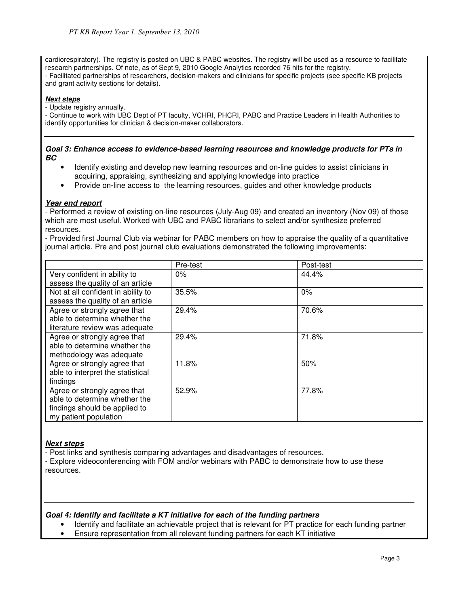cardiorespiratory). The registry is posted on UBC & PABC websites. The registry will be used as a resource to facilitate research partnerships. Of note, as of Sept 9, 2010 Google Analytics recorded 76 hits for the registry. - Facilitated partnerships of researchers, decision-makers and clinicians for specific projects (see specific KB projects and grant activity sections for details).

### **Next steps**

- Update registry annually.

- Continue to work with UBC Dept of PT faculty, VCHRI, PHCRI, PABC and Practice Leaders in Health Authorities to identify opportunities for clinician & decision-maker collaborators.

#### **Goal 3: Enhance access to evidence-based learning resources and knowledge products for PTs in BC**

- Identify existing and develop new learning resources and on-line guides to assist clinicians in acquiring, appraising, synthesizing and applying knowledge into practice
- Provide on-line access to the learning resources, guides and other knowledge products

### **Year end report**

- Performed a review of existing on-line resources (July-Aug 09) and created an inventory (Nov 09) of those which are most useful. Worked with UBC and PABC librarians to select and/or synthesize preferred resources.

- Provided first Journal Club via webinar for PABC members on how to appraise the quality of a quantitative journal article. Pre and post journal club evaluations demonstrated the following improvements:

|                                    | Pre-test | Post-test |
|------------------------------------|----------|-----------|
| Very confident in ability to       | $0\%$    | 44.4%     |
| assess the quality of an article   |          |           |
| Not at all confident in ability to | 35.5%    | 0%        |
| assess the quality of an article   |          |           |
| Agree or strongly agree that       | 29.4%    | 70.6%     |
| able to determine whether the      |          |           |
| literature review was adequate     |          |           |
| Agree or strongly agree that       | 29.4%    | 71.8%     |
| able to determine whether the      |          |           |
| methodology was adequate           |          |           |
| Agree or strongly agree that       | 11.8%    | 50%       |
| able to interpret the statistical  |          |           |
| findings                           |          |           |
| Agree or strongly agree that       | 52.9%    | 77.8%     |
| able to determine whether the      |          |           |
| findings should be applied to      |          |           |
| my patient population              |          |           |

### **Next steps**

- Post links and synthesis comparing advantages and disadvantages of resources.

- Explore videoconferencing with FOM and/or webinars with PABC to demonstrate how to use these resources.

### **Goal 4: Identify and facilitate a KT initiative for each of the funding partners**

- Identify and facilitate an achievable project that is relevant for PT practice for each funding partner
- Ensure representation from all relevant funding partners for each KT initiative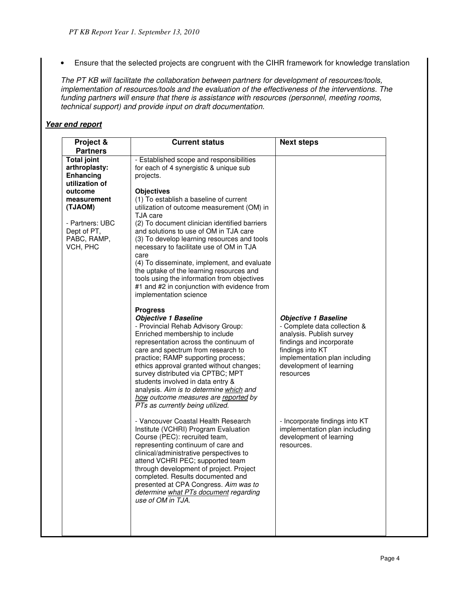• Ensure that the selected projects are congruent with the CIHR framework for knowledge translation

The PT KB will facilitate the collaboration between partners for development of resources/tools, implementation of resources/tools and the evaluation of the effectiveness of the interventions. The funding partners will ensure that there is assistance with resources (personnel, meeting rooms, technical support) and provide input on draft documentation.

### **Year end report**

| Project &<br><b>Partners</b>                                                                   | <b>Current status</b>                                                                                                                                                                                                                                                                                                                                                                                                                                                                     | <b>Next steps</b>                                                                                                                                                                                                |  |
|------------------------------------------------------------------------------------------------|-------------------------------------------------------------------------------------------------------------------------------------------------------------------------------------------------------------------------------------------------------------------------------------------------------------------------------------------------------------------------------------------------------------------------------------------------------------------------------------------|------------------------------------------------------------------------------------------------------------------------------------------------------------------------------------------------------------------|--|
| <b>Total joint</b><br>arthroplasty:<br><b>Enhancing</b><br>utilization of                      | - Established scope and responsibilities<br>for each of 4 synergistic & unique sub<br>projects.                                                                                                                                                                                                                                                                                                                                                                                           |                                                                                                                                                                                                                  |  |
| outcome<br>measurement<br>(TJAOM)<br>- Partners: UBC<br>Dept of PT,<br>PABC, RAMP,<br>VCH, PHC | <b>Objectives</b><br>(1) To establish a baseline of current<br>utilization of outcome measurement (OM) in<br>TJA care<br>(2) To document clinician identified barriers<br>and solutions to use of OM in TJA care<br>(3) To develop learning resources and tools<br>necessary to facilitate use of OM in TJA<br>care<br>(4) To disseminate, implement, and evaluate                                                                                                                        |                                                                                                                                                                                                                  |  |
|                                                                                                | the uptake of the learning resources and<br>tools using the information from objectives<br>#1 and #2 in conjunction with evidence from<br>implementation science                                                                                                                                                                                                                                                                                                                          |                                                                                                                                                                                                                  |  |
|                                                                                                | <b>Progress</b><br><b>Objective 1 Baseline</b><br>- Provincial Rehab Advisory Group:<br>Enriched membership to include<br>representation across the continuum of<br>care and spectrum from research to<br>practice; RAMP supporting process;<br>ethics approval granted without changes;<br>survey distributed via CPTBC; MPT<br>students involved in data entry &<br>analysis. Aim is to determine which and<br>how outcome measures are reported by<br>PTs as currently being utilized. | <b>Objective 1 Baseline</b><br>- Complete data collection &<br>analysis. Publish survey<br>findings and incorporate<br>findings into KT<br>implementation plan including<br>development of learning<br>resources |  |
|                                                                                                | - Vancouver Coastal Health Research<br>Institute (VCHRI) Program Evaluation<br>Course (PEC): recruited team,<br>representing continuum of care and<br>clinical/administrative perspectives to<br>attend VCHRI PEC; supported team<br>through development of project. Project<br>completed. Results documented and<br>presented at CPA Congress. Aim was to<br>determine what PTs document regarding<br>use of OM in TJA.                                                                  | - Incorporate findings into KT<br>implementation plan including<br>development of learning<br>resources.                                                                                                         |  |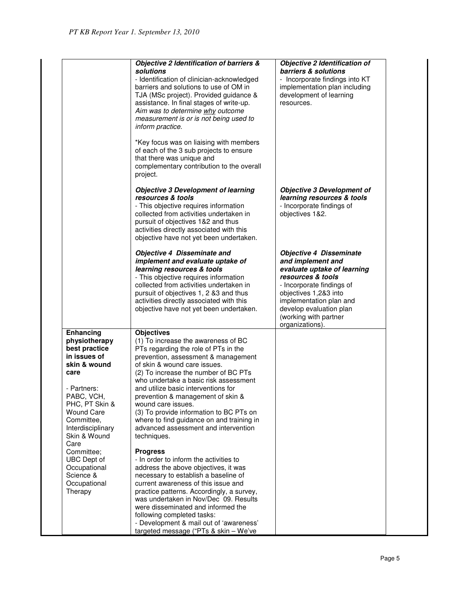|                                                                                                                                                                                                                    | Objective 2 Identification of barriers &<br>solutions<br>- Identification of clinician-acknowledged<br>barriers and solutions to use of OM in<br>TJA (MSc project). Provided guidance &<br>assistance. In final stages of write-up.<br>Aim was to determine why outcome<br>measurement is or is not being used to<br>inform practice.<br>*Key focus was on liaising with members<br>of each of the 3 sub projects to ensure<br>that there was unique and<br>complementary contribution to the overall<br>project. | Objective 2 Identification of<br>barriers & solutions<br>- Incorporate findings into KT<br>implementation plan including<br>development of learning<br>resources.                                                                                               |
|--------------------------------------------------------------------------------------------------------------------------------------------------------------------------------------------------------------------|-------------------------------------------------------------------------------------------------------------------------------------------------------------------------------------------------------------------------------------------------------------------------------------------------------------------------------------------------------------------------------------------------------------------------------------------------------------------------------------------------------------------|-----------------------------------------------------------------------------------------------------------------------------------------------------------------------------------------------------------------------------------------------------------------|
|                                                                                                                                                                                                                    | <b>Objective 3 Development of learning</b><br>resources & tools<br>- This objective requires information<br>collected from activities undertaken in<br>pursuit of objectives 1&2 and thus<br>activities directly associated with this<br>objective have not yet been undertaken.                                                                                                                                                                                                                                  | <b>Objective 3 Development of</b><br>learning resources & tools<br>- Incorporate findings of<br>objectives 1&2.                                                                                                                                                 |
|                                                                                                                                                                                                                    | Objective 4 Disseminate and<br>implement and evaluate uptake of<br>learning resources & tools<br>- This objective requires information<br>collected from activities undertaken in<br>pursuit of objectives 1, 2 &3 and thus<br>activities directly associated with this<br>objective have not yet been undertaken.                                                                                                                                                                                                | <b>Objective 4 Disseminate</b><br>and implement and<br>evaluate uptake of learning<br>resources & tools<br>- Incorporate findings of<br>objectives 1,2&3 into<br>implementation plan and<br>develop evaluation plan<br>(working with partner<br>organizations). |
| Enhancing<br>physiotherapy<br>best practice<br>in issues of<br>skin & wound<br>care<br>- Partners:<br>PABC, VCH,<br>PHC, PT Skin &<br><b>Wound Care</b><br>Committee.<br>Interdisciplinary<br>Skin & Wound<br>Care | <b>Objectives</b><br>(1) To increase the awareness of BC<br>PTs regarding the role of PTs in the<br>prevention, assessment & management<br>of skin & wound care issues.<br>(2) To increase the number of BC PTs<br>who undertake a basic risk assessment<br>and utilize basic interventions for<br>prevention & management of skin &<br>wound care issues.<br>(3) To provide information to BC PTs on<br>where to find guidance on and training in<br>advanced assessment and intervention<br>techniques.         |                                                                                                                                                                                                                                                                 |
| Committee;<br>UBC Dept of<br>Occupational<br>Science &<br>Occupational<br>Therapy                                                                                                                                  | <b>Progress</b><br>- In order to inform the activities to<br>address the above objectives, it was<br>necessary to establish a baseline of<br>current awareness of this issue and<br>practice patterns. Accordingly, a survey,<br>was undertaken in Nov/Dec 09. Results<br>were disseminated and informed the<br>following completed tasks:<br>- Development & mail out of 'awareness'<br>targeted message ("PTs & skin - We've                                                                                    |                                                                                                                                                                                                                                                                 |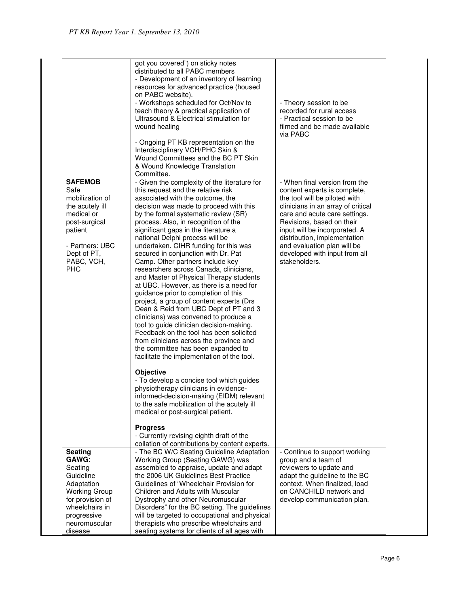|                                                                                                                                                                      | got you covered") on sticky notes<br>distributed to all PABC members<br>- Development of an inventory of learning<br>resources for advanced practice (housed<br>on PABC website).<br>- Workshops scheduled for Oct/Nov to<br>teach theory & practical application of<br>Ultrasound & Electrical stimulation for<br>wound healing<br>- Ongoing PT KB representation on the<br>Interdisciplinary VCH/PHC Skin &<br>Wound Committees and the BC PT Skin<br>& Wound Knowledge Translation<br>Committee.                                                                                                                                                                                                                                                                                                                                                                                                                                                                                                                                                                                                                                                                                                                                                                                                                                   | - Theory session to be<br>recorded for rural access<br>- Practical session to be<br>filmed and be made available<br>via PABC                                                                                                                                                                                                                         |
|----------------------------------------------------------------------------------------------------------------------------------------------------------------------|---------------------------------------------------------------------------------------------------------------------------------------------------------------------------------------------------------------------------------------------------------------------------------------------------------------------------------------------------------------------------------------------------------------------------------------------------------------------------------------------------------------------------------------------------------------------------------------------------------------------------------------------------------------------------------------------------------------------------------------------------------------------------------------------------------------------------------------------------------------------------------------------------------------------------------------------------------------------------------------------------------------------------------------------------------------------------------------------------------------------------------------------------------------------------------------------------------------------------------------------------------------------------------------------------------------------------------------|------------------------------------------------------------------------------------------------------------------------------------------------------------------------------------------------------------------------------------------------------------------------------------------------------------------------------------------------------|
| <b>SAFEMOB</b><br>Safe<br>mobilization of<br>the acutely ill<br>medical or<br>post-surgical<br>patient<br>- Partners: UBC<br>Dept of PT,<br>PABC, VCH,<br><b>PHC</b> | - Given the complexity of the literature for<br>this request and the relative risk<br>associated with the outcome, the<br>decision was made to proceed with this<br>by the formal systematic review (SR)<br>process. Also, in recognition of the<br>significant gaps in the literature a<br>national Delphi process will be<br>undertaken. CIHR funding for this was<br>secured in conjunction with Dr. Pat<br>Camp. Other partners include key<br>researchers across Canada, clinicians,<br>and Master of Physical Therapy students<br>at UBC. However, as there is a need for<br>guidance prior to completion of this<br>project, a group of content experts (Drs<br>Dean & Reid from UBC Dept of PT and 3<br>clinicians) was convened to produce a<br>tool to guide clinician decision-making.<br>Feedback on the tool has been solicited<br>from clinicians across the province and<br>the committee has been expanded to<br>facilitate the implementation of the tool.<br><b>Objective</b><br>- To develop a concise tool which guides<br>physiotherapy clinicians in evidence-<br>informed-decision-making (EIDM) relevant<br>to the safe mobilization of the acutely ill<br>medical or post-surgical patient.<br><b>Progress</b><br>- Currently revising eighth draft of the<br>collation of contributions by content experts. | - When final version from the<br>content experts is complete,<br>the tool will be piloted with<br>clinicians in an array of critical<br>care and acute care settings.<br>Revisions, based on their<br>input will be incorporated. A<br>distribution, implementation<br>and evaluation plan will be<br>developed with input from all<br>stakeholders. |
| <b>Seating</b>                                                                                                                                                       | - The BC W/C Seating Guideline Adaptation                                                                                                                                                                                                                                                                                                                                                                                                                                                                                                                                                                                                                                                                                                                                                                                                                                                                                                                                                                                                                                                                                                                                                                                                                                                                                             | - Continue to support working                                                                                                                                                                                                                                                                                                                        |
| GAWG:<br>Seating                                                                                                                                                     | Working Group (Seating GAWG) was<br>assembled to appraise, update and adapt                                                                                                                                                                                                                                                                                                                                                                                                                                                                                                                                                                                                                                                                                                                                                                                                                                                                                                                                                                                                                                                                                                                                                                                                                                                           | group and a team of<br>reviewers to update and                                                                                                                                                                                                                                                                                                       |
| Guideline                                                                                                                                                            | the 2006 UK Guidelines Best Practice                                                                                                                                                                                                                                                                                                                                                                                                                                                                                                                                                                                                                                                                                                                                                                                                                                                                                                                                                                                                                                                                                                                                                                                                                                                                                                  | adapt the guideline to the BC                                                                                                                                                                                                                                                                                                                        |
| Adaptation                                                                                                                                                           | Guidelines of "Wheelchair Provision for                                                                                                                                                                                                                                                                                                                                                                                                                                                                                                                                                                                                                                                                                                                                                                                                                                                                                                                                                                                                                                                                                                                                                                                                                                                                                               | context. When finalized, load<br>on CANCHILD network and                                                                                                                                                                                                                                                                                             |
| <b>Working Group</b><br>for provision of                                                                                                                             | Children and Adults with Muscular<br>Dystrophy and other Neuromuscular                                                                                                                                                                                                                                                                                                                                                                                                                                                                                                                                                                                                                                                                                                                                                                                                                                                                                                                                                                                                                                                                                                                                                                                                                                                                | develop communication plan.                                                                                                                                                                                                                                                                                                                          |
| wheelchairs in                                                                                                                                                       | Disorders" for the BC setting. The guidelines                                                                                                                                                                                                                                                                                                                                                                                                                                                                                                                                                                                                                                                                                                                                                                                                                                                                                                                                                                                                                                                                                                                                                                                                                                                                                         |                                                                                                                                                                                                                                                                                                                                                      |
| progressive                                                                                                                                                          | will be targeted to occupational and physical                                                                                                                                                                                                                                                                                                                                                                                                                                                                                                                                                                                                                                                                                                                                                                                                                                                                                                                                                                                                                                                                                                                                                                                                                                                                                         |                                                                                                                                                                                                                                                                                                                                                      |
| neuromuscular                                                                                                                                                        | therapists who prescribe wheelchairs and                                                                                                                                                                                                                                                                                                                                                                                                                                                                                                                                                                                                                                                                                                                                                                                                                                                                                                                                                                                                                                                                                                                                                                                                                                                                                              |                                                                                                                                                                                                                                                                                                                                                      |
| disease                                                                                                                                                              | seating systems for clients of all ages with                                                                                                                                                                                                                                                                                                                                                                                                                                                                                                                                                                                                                                                                                                                                                                                                                                                                                                                                                                                                                                                                                                                                                                                                                                                                                          |                                                                                                                                                                                                                                                                                                                                                      |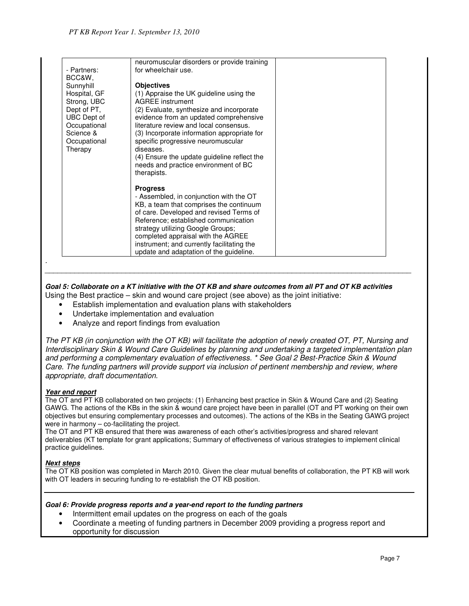|                                                                                                                                                 | neuromuscular disorders or provide training                                                                                                                                                                                                                                                                                                                                                                                     |  |
|-------------------------------------------------------------------------------------------------------------------------------------------------|---------------------------------------------------------------------------------------------------------------------------------------------------------------------------------------------------------------------------------------------------------------------------------------------------------------------------------------------------------------------------------------------------------------------------------|--|
| - Partners:                                                                                                                                     | for wheelchair use.                                                                                                                                                                                                                                                                                                                                                                                                             |  |
| BCC&W.<br>Sunnyhill<br>Hospital, GF<br>Strong, UBC<br>Dept of PT,<br><b>UBC</b> Dept of<br>Occupational<br>Science &<br>Occupational<br>Therapy | <b>Objectives</b><br>(1) Appraise the UK guideline using the<br><b>AGREE</b> instrument<br>(2) Evaluate, synthesize and incorporate<br>evidence from an updated comprehensive<br>literature review and local consensus.<br>(3) Incorporate information appropriate for<br>specific progressive neuromuscular<br>diseases.<br>(4) Ensure the update guideline reflect the<br>needs and practice environment of BC<br>therapists. |  |
|                                                                                                                                                 | <b>Progress</b><br>- Assembled, in conjunction with the OT<br>KB, a team that comprises the continuum<br>of care. Developed and revised Terms of<br>Reference; established communication<br>strategy utilizing Google Groups;<br>completed appraisal with the AGREE<br>instrument; and currently facilitating the<br>update and adaptation of the guideline.                                                                    |  |

### **Goal 5: Collaborate on a KT initiative with the OT KB and share outcomes from all PT and OT KB activities**

\_\_\_\_\_\_\_\_\_\_\_\_\_\_\_\_\_\_\_\_\_\_\_\_\_\_\_\_\_\_\_\_\_\_\_\_\_\_\_\_\_\_\_\_\_\_\_\_\_\_\_\_\_\_\_\_\_\_\_\_\_\_\_\_\_\_\_\_\_\_\_\_\_\_\_\_\_\_\_\_\_\_\_\_\_\_

Using the Best practice – skin and wound care project (see above) as the joint initiative:

- Establish implementation and evaluation plans with stakeholders
- Undertake implementation and evaluation
- Analyze and report findings from evaluation

The PT KB (in conjunction with the OT KB) will facilitate the adoption of newly created OT, PT, Nursing and Interdisciplinary Skin & Wound Care Guidelines by planning and undertaking a targeted implementation plan and performing a complementary evaluation of effectiveness. \* See Goal 2 Best-Practice Skin & Wound Care. The funding partners will provide support via inclusion of pertinent membership and review, where appropriate, draft documentation.

### **Year end report**

.

The OT and PT KB collaborated on two projects: (1) Enhancing best practice in Skin & Wound Care and (2) Seating GAWG. The actions of the KBs in the skin & wound care project have been in parallel (OT and PT working on their own objectives but ensuring complementary processes and outcomes). The actions of the KBs in the Seating GAWG project were in harmony – co-facilitating the project.

The OT and PT KB ensured that there was awareness of each other's activities/progress and shared relevant deliverables (KT template for grant applications; Summary of effectiveness of various strategies to implement clinical practice guidelines.

### **Next steps**

The OT KB position was completed in March 2010. Given the clear mutual benefits of collaboration, the PT KB will work with OT leaders in securing funding to re-establish the OT KB position.

#### **Goal 6: Provide progress reports and a year-end report to the funding partners**

- Intermittent email updates on the progress on each of the goals
- Coordinate a meeting of funding partners in December 2009 providing a progress report and opportunity for discussion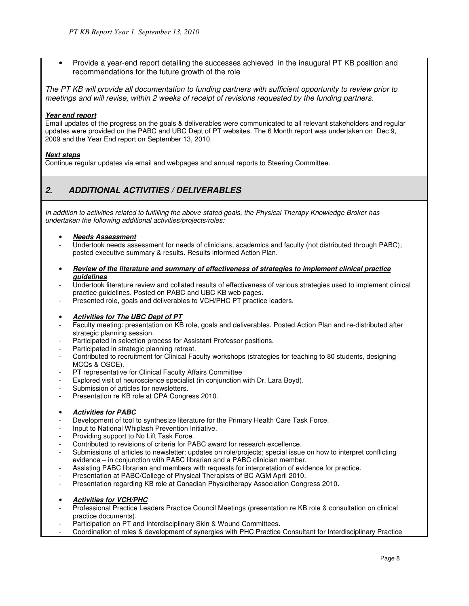• Provide a year-end report detailing the successes achieved in the inaugural PT KB position and recommendations for the future growth of the role

The PT KB will provide all documentation to funding partners with sufficient opportunity to review prior to meetings and will revise, within 2 weeks of receipt of revisions requested by the funding partners.

#### **Year end report**

Email updates of the progress on the goals & deliverables were communicated to all relevant stakeholders and regular updates were provided on the PABC and UBC Dept of PT websites. The 6 Month report was undertaken on Dec 9, 2009 and the Year End report on September 13, 2010.

#### **Next steps**

Continue regular updates via email and webpages and annual reports to Steering Committee.

## **2. ADDITIONAL ACTIVITIES / DELIVERABLES**

In addition to activities related to fulfilling the above-stated goals, the Physical Therapy Knowledge Broker has undertaken the following additional activities/projects/roles:

- **Needs Assessment**
- Undertook needs assessment for needs of clinicians, academics and faculty (not distributed through PABC); posted executive summary & results. Results informed Action Plan.
- **Review of the literature and summary of effectiveness of strategies to implement clinical practice guidelines**
- Undertook literature review and collated results of effectiveness of various strategies used to implement clinical practice guidelines. Posted on PABC and UBC KB web pages.
- Presented role, goals and deliverables to VCH/PHC PT practice leaders.

### • **Activities for The UBC Dept of PT**

- Faculty meeting: presentation on KB role, goals and deliverables. Posted Action Plan and re-distributed after strategic planning session.
- Participated in selection process for Assistant Professor positions.
- Participated in strategic planning retreat.
- Contributed to recruitment for Clinical Faculty workshops (strategies for teaching to 80 students, designing MCQs & OSCE).
- PT representative for Clinical Faculty Affairs Committee
- Explored visit of neuroscience specialist (in conjunction with Dr. Lara Boyd).
- Submission of articles for newsletters.
- Presentation re KB role at CPA Congress 2010.
- **Activities for PABC**
- Development of tool to synthesize literature for the Primary Health Care Task Force.
- Input to National Whiplash Prevention Initiative.
- Providing support to No Lift Task Force.
- Contributed to revisions of criteria for PABC award for research excellence.
- Submissions of articles to newsletter: updates on role/projects; special issue on how to interpret conflicting evidence – in conjunction with PABC librarian and a PABC clinician member.
- Assisting PABC librarian and members with requests for interpretation of evidence for practice.
- Presentation at PABC/College of Physical Therapists of BC AGM April 2010.
- Presentation regarding KB role at Canadian Physiotherapy Association Congress 2010.
- **Activities for VCH/PHC**
- Professional Practice Leaders Practice Council Meetings (presentation re KB role & consultation on clinical practice documents).
- Participation on PT and Interdisciplinary Skin & Wound Committees.
- Coordination of roles & development of synergies with PHC Practice Consultant for Interdisciplinary Practice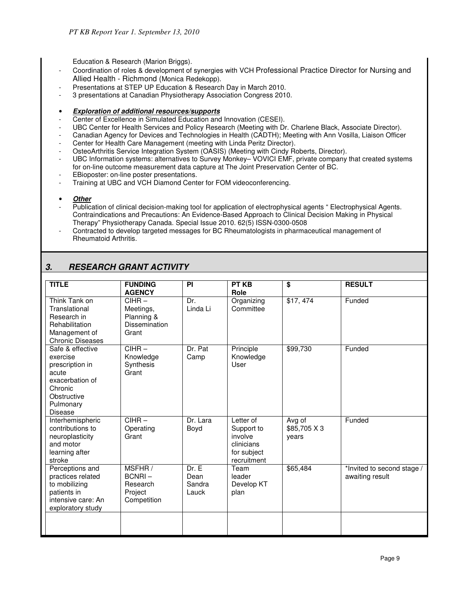Education & Research (Marion Briggs).

- Coordination of roles & development of synergies with VCH Professional Practice Director for Nursing and Allied Health - Richmond (Monica Redekopp).
- Presentations at STEP UP Education & Research Day in March 2010.
- 3 presentations at Canadian Physiotherapy Association Congress 2010.
- **Exploration of additional resources/supports**
- Center of Excellence in Simulated Education and Innovation (CESEI).
- UBC Center for Health Services and Policy Research (Meeting with Dr. Charlene Black, Associate Director).
- Canadian Agency for Devices and Technologies in Health (CADTH); Meeting with Ann Vosilla, Liaison Officer
- Center for Health Care Management (meeting with Linda Peritz Director).
- OsteoArthritis Service Integration System (OASIS) (Meeting with Cindy Roberts, Director).
- UBC Information systems: alternatives to Survey Monkey– VOVICI EMF, private company that created systems for on-line outcome measurement data capture at The Joint Preservation Center of BC.
- EBioposter: on-line poster presentations.
- Training at UBC and VCH Diamond Center for FOM videoconferencing.
- **Other**
- Publication of clinical decision-making tool for application of electrophysical agents " Electrophysical Agents. Contraindications and Precautions: An Evidence-Based Approach to Clinical Decision Making in Physical Therapy" Physiotherapy Canada. Special Issue 2010. 62(5) ISSN-0300-0508
- Contracted to develop targeted messages for BC Rheumatologists in pharmaceutical management of Rheumatoid Arthritis.

# **3. RESEARCH GRANT ACTIVITY**

| <b>TITLE</b>                                                                                                                         | <b>FUNDING</b><br><b>AGENCY</b>                               | PI                               | <b>PT KB</b><br>Role                                                           | $\overline{\$}$                 | <b>RESULT</b>                                 |
|--------------------------------------------------------------------------------------------------------------------------------------|---------------------------------------------------------------|----------------------------------|--------------------------------------------------------------------------------|---------------------------------|-----------------------------------------------|
| Think Tank on<br>Translational<br>Research in<br>Rehabilitation<br>Management of<br><b>Chronic Diseases</b>                          | $CIHR -$<br>Meetings,<br>Planning &<br>Dissemination<br>Grant | Dr.<br>Linda Li                  | Organizing<br>Committee                                                        | \$17,474                        | Funded                                        |
| Safe & effective<br>exercise<br>prescription in<br>acute<br>exacerbation of<br>Chronic<br>Obstructive<br>Pulmonary<br><b>Disease</b> | $CIHR -$<br>Knowledge<br>Synthesis<br>Grant                   | Dr. Pat<br>Camp                  | Principle<br>Knowledge<br>User                                                 | \$99,730                        | Funded                                        |
| Interhemispheric<br>contributions to<br>neuroplasticity<br>and motor<br>learning after<br>stroke                                     | $CIHR -$<br>Operating<br>Grant                                | Dr. Lara<br>Boyd                 | Letter of<br>Support to<br>involve<br>clinicians<br>for subject<br>recruitment | Avg of<br>\$85,705 X 3<br>years | Funded                                        |
| Perceptions and<br>practices related<br>to mobilizing<br>patients in<br>intensive care: An<br>exploratory study                      | MSFHR/<br>BCNRI-<br>Research<br>Project<br>Competition        | Dr. E<br>Dean<br>Sandra<br>Lauck | Team<br>leader<br>Develop KT<br>plan                                           | \$65,484                        | *Invited to second stage /<br>awaiting result |
|                                                                                                                                      |                                                               |                                  |                                                                                |                                 |                                               |